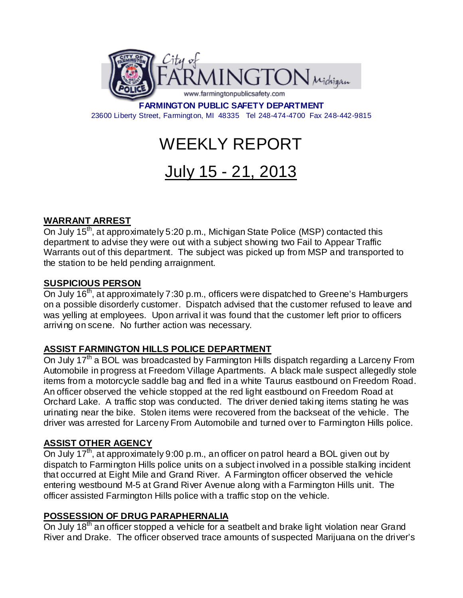

**FARMINGTON PUBLIC SAFETY DEPARTMENT** 23600 Liberty Street, Farmington, MI 48335 Tel 248-474-4700 Fax 248-442-9815

# WEEKLY REPORT

# July 15 - 21, 2013

# **WARRANT ARREST**

On July 15<sup>th</sup>, at approximately 5:20 p.m., Michigan State Police (MSP) contacted this department to advise they were out with a subject showing two Fail to Appear Traffic Warrants out of this department. The subject was picked up from MSP and transported to the station to be held pending arraignment.

#### **SUSPICIOUS PERSON**

On July 16<sup>th</sup>, at approximately 7:30 p.m., officers were dispatched to Greene's Hamburgers on a possible disorderly customer. Dispatch advised that the customer refused to leave and was yelling at employees. Upon arrival it was found that the customer left prior to officers arriving on scene. No further action was necessary.

## **ASSIST FARMINGTON HILLS POLICE DEPARTMENT**

On July 17<sup>th</sup> a BOL was broadcasted by Farmington Hills dispatch regarding a Larceny From Automobile in progress at Freedom Village Apartments. A black male suspect allegedly stole items from a motorcycle saddle bag and fled in a white Taurus eastbound on Freedom Road. An officer observed the vehicle stopped at the red light eastbound on Freedom Road at Orchard Lake. A traffic stop was conducted. The driver denied taking items stating he was urinating near the bike. Stolen items were recovered from the backseat of the vehicle. The driver was arrested for Larceny From Automobile and turned over to Farmington Hills police.

## **ASSIST OTHER AGENCY**

On July 17<sup>th</sup>, at approximately 9:00 p.m., an officer on patrol heard a BOL given out by dispatch to Farmington Hills police units on a subject involved in a possible stalking incident that occurred at Eight Mile and Grand River. A Farmington officer observed the vehicle entering westbound M-5 at Grand River Avenue along with a Farmington Hills unit. The officer assisted Farmington Hills police with a traffic stop on the vehicle.

## **POSSESSION OF DRUG PARAPHERNALIA**

On July 18<sup>th</sup> an officer stopped a vehicle for a seatbelt and brake light violation near Grand River and Drake. The officer observed trace amounts of suspected Marijuana on the driver's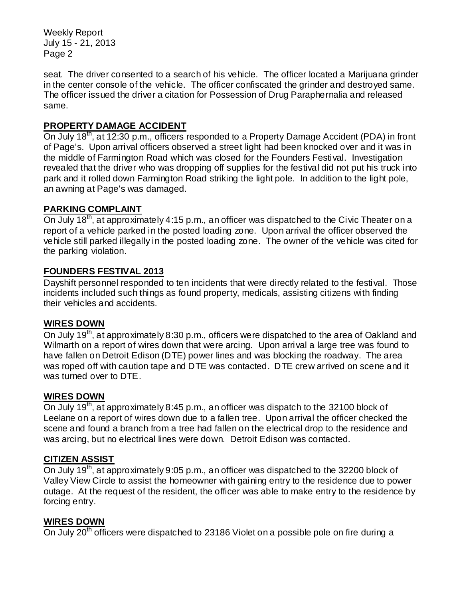Weekly Report July 15 - 21, 2013 Page 2

seat. The driver consented to a search of his vehicle. The officer located a Marijuana grinder in the center console of the vehicle. The officer confiscated the grinder and destroyed same. The officer issued the driver a citation for Possession of Drug Paraphernalia and released same.

# **PROPERTY DAMAGE ACCIDENT**

On July 18<sup>th</sup>, at 12:30 p.m., officers responded to a Property Damage Accident (PDA) in front of Page's. Upon arrival officers observed a street light had been knocked over and it was in the middle of Farmington Road which was closed for the Founders Festival. Investigation revealed that the driver who was dropping off supplies for the festival did not put his truck into park and it rolled down Farmington Road striking the light pole. In addition to the light pole, an awning at Page's was damaged.

## **PARKING COMPLAINT**

On July 18<sup>th</sup>, at approximately 4:15 p.m., an officer was dispatched to the Civic Theater on a report of a vehicle parked in the posted loading zone. Upon arrival the officer observed the vehicle still parked illegally in the posted loading zone. The owner of the vehicle was cited for the parking violation.

## **FOUNDERS FESTIVAL 2013**

Dayshift personnel responded to ten incidents that were directly related to the festival. Those incidents included such things as found property, medicals, assisting citizens with finding their vehicles and accidents.

#### **WIRES DOWN**

On July 19<sup>th</sup>, at approximately 8:30 p.m., officers were dispatched to the area of Oakland and Wilmarth on a report of wires down that were arcing. Upon arrival a large tree was found to have fallen on Detroit Edison (DTE) power lines and was blocking the roadway. The area was roped off with caution tape and DTE was contacted. DTE crew arrived on scene and it was turned over to DTE.

#### **WIRES DOWN**

On July 19<sup>th</sup>, at approximately 8:45 p.m., an officer was dispatch to the 32100 block of Leelane on a report of wires down due to a fallen tree. Upon arrival the officer checked the scene and found a branch from a tree had fallen on the electrical drop to the residence and was arcing, but no electrical lines were down. Detroit Edison was contacted.

#### **CITIZEN ASSIST**

On July 19<sup>th</sup>, at approximately 9:05 p.m., an officer was dispatched to the 32200 block of Valley View Circle to assist the homeowner with gaining entry to the residence due to power outage. At the request of the resident, the officer was able to make entry to the residence by forcing entry.

#### **WIRES DOWN**

On July 20<sup>th</sup> officers were dispatched to 23186 Violet on a possible pole on fire during a